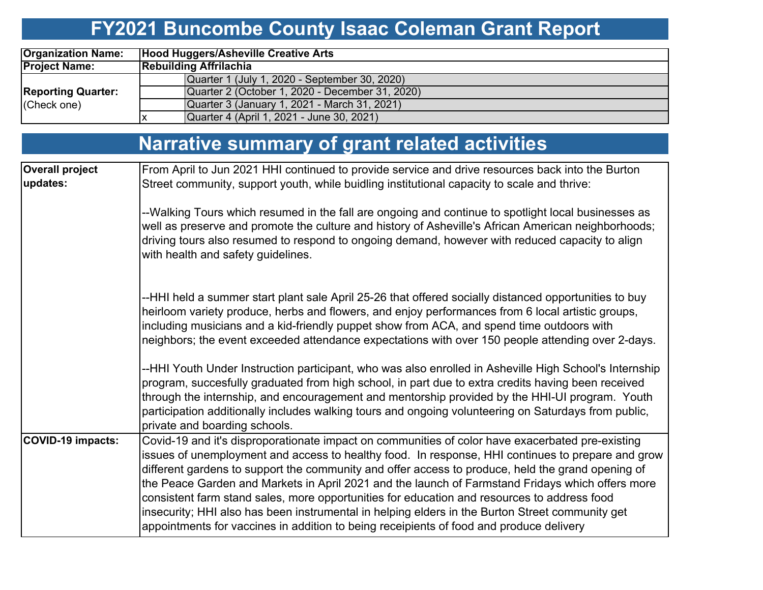# **FY2021 Buncombe County Isaac Coleman Grant Report**

| <b>Organization Name:</b> | Hood Huggers/Asheville Creative Arts            |  |  |  |  |  |  |  |  |  |  |
|---------------------------|-------------------------------------------------|--|--|--|--|--|--|--|--|--|--|
| <b>Project Name:</b>      | <b>Rebuilding Affrilachia</b>                   |  |  |  |  |  |  |  |  |  |  |
|                           | Quarter 1 (July 1, 2020 - September 30, 2020)   |  |  |  |  |  |  |  |  |  |  |
| <b>Reporting Quarter:</b> | Quarter 2 (October 1, 2020 - December 31, 2020) |  |  |  |  |  |  |  |  |  |  |
| (Check one)               | Quarter 3 (January 1, 2021 - March 31, 2021)    |  |  |  |  |  |  |  |  |  |  |
|                           | Quarter 4 (April 1, 2021 - June 30, 2021)       |  |  |  |  |  |  |  |  |  |  |

|                                    | Narrative summary of grant related activities                                                                                                                                                                                                                                                                                                                                                                                                                                                                                                                                                                                                                                                               |
|------------------------------------|-------------------------------------------------------------------------------------------------------------------------------------------------------------------------------------------------------------------------------------------------------------------------------------------------------------------------------------------------------------------------------------------------------------------------------------------------------------------------------------------------------------------------------------------------------------------------------------------------------------------------------------------------------------------------------------------------------------|
| <b>Overall project</b><br>updates: | From April to Jun 2021 HHI continued to provide service and drive resources back into the Burton<br>Street community, support youth, while buidling institutional capacity to scale and thrive:                                                                                                                                                                                                                                                                                                                                                                                                                                                                                                             |
|                                    | --Walking Tours which resumed in the fall are ongoing and continue to spotlight local businesses as<br>well as preserve and promote the culture and history of Asheville's African American neighborhoods;<br>driving tours also resumed to respond to ongoing demand, however with reduced capacity to align<br>with health and safety guidelines.                                                                                                                                                                                                                                                                                                                                                         |
|                                    | --HHI held a summer start plant sale April 25-26 that offered socially distanced opportunities to buy<br>heirloom variety produce, herbs and flowers, and enjoy performances from 6 local artistic groups,<br>including musicians and a kid-friendly puppet show from ACA, and spend time outdoors with<br>neighbors; the event exceeded attendance expectations with over 150 people attending over 2-days.                                                                                                                                                                                                                                                                                                |
|                                    | --HHI Youth Under Instruction participant, who was also enrolled in Asheville High School's Internship<br>program, succesfully graduated from high school, in part due to extra credits having been received<br>through the internship, and encouragement and mentorship provided by the HHI-UI program. Youth<br>participation additionally includes walking tours and ongoing volunteering on Saturdays from public,<br>private and boarding schools.                                                                                                                                                                                                                                                     |
| <b>COVID-19 impacts:</b>           | Covid-19 and it's disproporationate impact on communities of color have exacerbated pre-existing<br>issues of unemployment and access to healthy food. In response, HHI continues to prepare and grow<br>different gardens to support the community and offer access to produce, held the grand opening of<br>the Peace Garden and Markets in April 2021 and the launch of Farmstand Fridays which offers more<br>consistent farm stand sales, more opportunities for education and resources to address food<br>insecurity; HHI also has been instrumental in helping elders in the Burton Street community get<br>appointments for vaccines in addition to being receipients of food and produce delivery |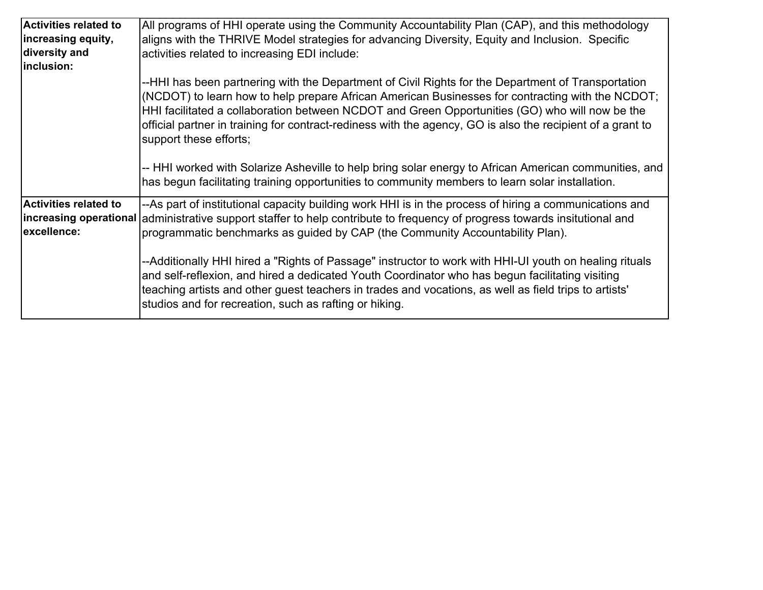| <b>Activities related to</b><br>increasing equity,<br>diversity and<br>inclusion: | All programs of HHI operate using the Community Accountability Plan (CAP), and this methodology<br>aligns with the THRIVE Model strategies for advancing Diversity, Equity and Inclusion. Specific<br>activities related to increasing EDI include:                                                                                                                                                                                              |  |  |  |  |  |  |  |
|-----------------------------------------------------------------------------------|--------------------------------------------------------------------------------------------------------------------------------------------------------------------------------------------------------------------------------------------------------------------------------------------------------------------------------------------------------------------------------------------------------------------------------------------------|--|--|--|--|--|--|--|
|                                                                                   | --HHI has been partnering with the Department of Civil Rights for the Department of Transportation<br>(NCDOT) to learn how to help prepare African American Businesses for contracting with the NCDOT;<br>HHI facilitated a collaboration between NCDOT and Green Opportunities (GO) who will now be the<br>official partner in training for contract-rediness with the agency, GO is also the recipient of a grant to<br>support these efforts; |  |  |  |  |  |  |  |
|                                                                                   | -- HHI worked with Solarize Asheville to help bring solar energy to African American communities, and<br>has begun facilitating training opportunities to community members to learn solar installation.                                                                                                                                                                                                                                         |  |  |  |  |  |  |  |
| <b>Activities related to</b><br>excellence:                                       | --As part of institutional capacity building work HHI is in the process of hiring a communications and<br>increasing operational administrative support staffer to help contribute to frequency of progress towards insitutional and<br>programmatic benchmarks as guided by CAP (the Community Accountability Plan).                                                                                                                            |  |  |  |  |  |  |  |
|                                                                                   | --Additionally HHI hired a "Rights of Passage" instructor to work with HHI-UI youth on healing rituals<br>and self-reflexion, and hired a dedicated Youth Coordinator who has begun facilitating visiting<br>teaching artists and other guest teachers in trades and vocations, as well as field trips to artists'<br>studios and for recreation, such as rafting or hiking.                                                                     |  |  |  |  |  |  |  |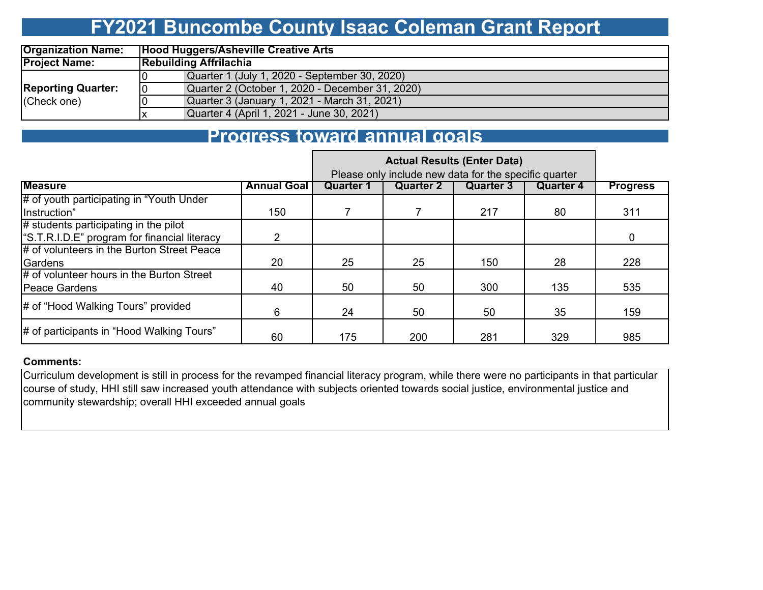### **FY2021 Buncombe County Isaac Coleman Grant Report**

| <b>Organization Name:</b> |    | Hood Huggers/Asheville Creative Arts            |  |  |  |  |  |  |  |  |  |
|---------------------------|----|-------------------------------------------------|--|--|--|--|--|--|--|--|--|
| <b>Project Name:</b>      |    | <b>Rebuilding Affrilachia</b>                   |  |  |  |  |  |  |  |  |  |
|                           |    | Quarter 1 (July 1, 2020 - September 30, 2020)   |  |  |  |  |  |  |  |  |  |
| <b>Reporting Quarter:</b> | 10 | Quarter 2 (October 1, 2020 - December 31, 2020) |  |  |  |  |  |  |  |  |  |
| (Check one)               |    | Quarter 3 (January 1, 2021 - March 31, 2021)    |  |  |  |  |  |  |  |  |  |
|                           |    | Quarter 4 (April 1, 2021 - June 30, 2021)       |  |  |  |  |  |  |  |  |  |

### **Progress toward annual goals**

|                                             |                    | Please only include new data for the specific quarter |                  |                  |                  |                 |
|---------------------------------------------|--------------------|-------------------------------------------------------|------------------|------------------|------------------|-----------------|
| <b>Measure</b>                              | <b>Annual Goal</b> | <b>Quarter 1</b>                                      | <b>Quarter 2</b> | <b>Quarter 3</b> | <b>Quarter 4</b> | <b>Progress</b> |
| # of youth participating in "Youth Under"   |                    |                                                       |                  |                  |                  |                 |
| Instruction"                                | 150                |                                                       |                  | 217              | 80               | 311             |
| $#$ students participating in the pilot     |                    |                                                       |                  |                  |                  |                 |
| S.T.R.I.D.E" program for financial literacy | $\mathcal{P}$      |                                                       |                  |                  |                  | 0               |
| # of volunteers in the Burton Street Peace  |                    |                                                       |                  |                  |                  |                 |
| Gardens                                     | 20                 | 25                                                    | 25               | 150              | 28               | 228             |
| # of volunteer hours in the Burton Street   |                    |                                                       |                  |                  |                  |                 |
| <b>IPeace Gardens</b>                       | 40                 | 50                                                    | 50               | 300              | 135              | 535             |
| # of "Hood Walking Tours" provided          | 6                  | 24                                                    | 50               | 50               | 35               | 159             |
| # of participants in "Hood Walking Tours"   | 60                 | 175                                                   | 200              | 281              | 329              | 985             |

#### **Comments:**

Curriculum development is still in process for the revamped financial literacy program, while there were no participants in that particular course of study, HHI still saw increased youth attendance with subjects oriented towards social justice, environmental justice and community stewardship; overall HHI exceeded annual goals